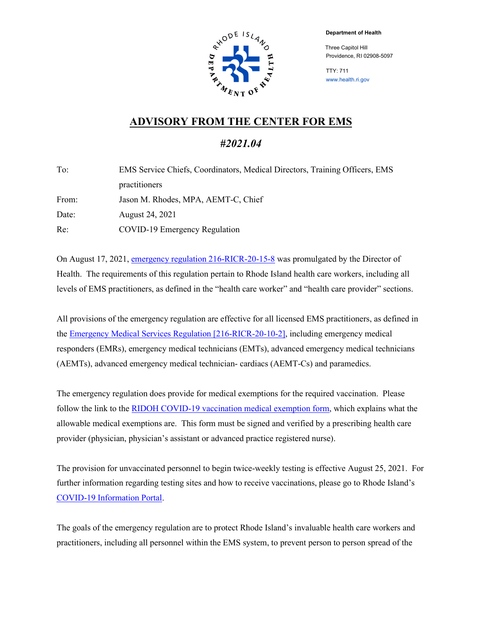**Department of Health**



 Three Capitol Hill Providence, RI 02908-5097

TTY: 711 www.health.ri.gov

## **ADVISORY FROM THE CENTER FOR EMS**

## *#2021.04*

| EMS Service Chiefs, Coordinators, Medical Directors, Training Officers, EMS |  |  |  |  |
|-----------------------------------------------------------------------------|--|--|--|--|
| practitioners                                                               |  |  |  |  |
| Jason M. Rhodes, MPA, AEMT-C, Chief                                         |  |  |  |  |
| August 24, 2021                                                             |  |  |  |  |
| COVID-19 Emergency Regulation                                               |  |  |  |  |
|                                                                             |  |  |  |  |

On August 17, 2021[, emergency regulation 216-RICR-20-15-8](https://rules.sos.ri.gov/regulations/part/216-20-15-8) was promulgated by the Director of Health. The requirements of this regulation pertain to Rhode Island health care workers, including all levels of EMS practitioners, as defined in the "health care worker" and "health care provider" sections.

All provisions of the emergency regulation are effective for all licensed EMS practitioners, as defined in the [Emergency Medical Services Regulation](https://rules.sos.ri.gov/regulations/part/216-20-10-2) [216-RICR-20-10-2], including emergency medical responders (EMRs), emergency medical technicians (EMTs), advanced emergency medical technicians (AEMTs), advanced emergency medical technician- cardiacs (AEMT-Cs) and paramedics.

The emergency regulation does provide for medical exemptions for the required vaccination. Please follow the link to the RIDOH COVID-19 vaccination medical exemption form, which explains what the allowable medical exemptions are. This form must be signed and verified by a prescribing health care provider (physician, physician's assistant or advanced practice registered nurse).

The provision for unvaccinated personnel to begin twice-weekly testing is effective August 25, 2021. For further information regarding testing sites and how to receive vaccinations, please go to Rhode Island's [COVID-19 Information Portal.](https://covid.ri.gov/)

The goals of the emergency regulation are to protect Rhode Island's invaluable health care workers and practitioners, including all personnel within the EMS system, to prevent person to person spread of the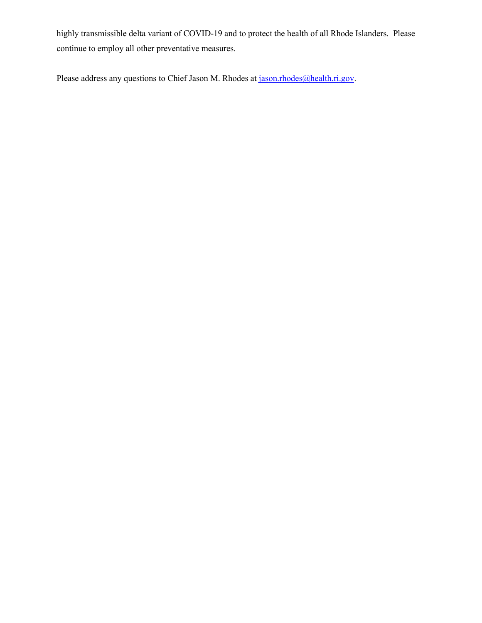highly transmissible delta variant of COVID-19 and to protect the health of all Rhode Islanders. Please continue to employ all other preventative measures.

Please address any questions to Chief Jason M. Rhodes at [jason.rhodes@health.ri.gov.](mailto:jason.rhodes@health.ri.gov)